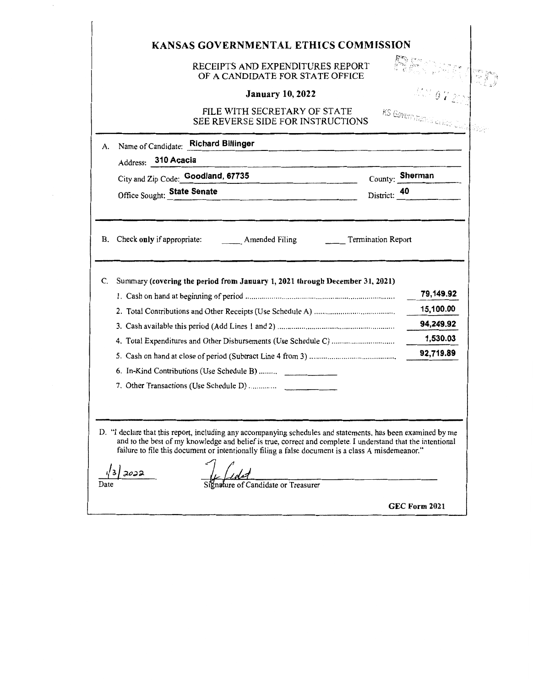|                 | RECEIPTS AND EXPENDITURES REPORT<br>OF A CANDIDATE FOR STATE OFFICE                                                                                                         |              | France                                            |
|-----------------|-----------------------------------------------------------------------------------------------------------------------------------------------------------------------------|--------------|---------------------------------------------------|
|                 | <b>January 10, 2022</b>                                                                                                                                                     |              |                                                   |
|                 | FILE WITH SECRETARY OF STATE<br>SEE REVERSE SIDE FOR INSTRUCTIONS                                                                                                           |              | KS Governmental cuties Cutin <sup>tif</sup> issie |
| А.              | Name of Candidate: Richard Billinger                                                                                                                                        |              |                                                   |
|                 | Address: 310 Acacia                                                                                                                                                         |              |                                                   |
|                 | City and Zip Code: Goodland, 67735                                                                                                                                          |              | County: Sherman                                   |
|                 |                                                                                                                                                                             |              |                                                   |
| <b>B.</b><br>C. | Office Sought: State Senate<br>Check only if appropriate: Amended Filing Termination Report<br>Summary (covering the period from January 1, 2021 through December 31, 2021) | District: 40 |                                                   |
|                 |                                                                                                                                                                             |              | 79,149.92                                         |
|                 |                                                                                                                                                                             |              | 15,100.00                                         |
|                 |                                                                                                                                                                             |              | 94,249.92                                         |
|                 |                                                                                                                                                                             |              | 1,530.03                                          |
|                 |                                                                                                                                                                             |              | 92,719.89                                         |
|                 | 6. In-Kind Contributions (Use Schedule B)                                                                                                                                   |              |                                                   |

 $\frac{i}{\text{Date}}$ 

 $\overline{\phantom{a}}$ 

 $\bar{\mathcal{A}}$ 

Signature of Candidate or Treasurer

GEC Form 2021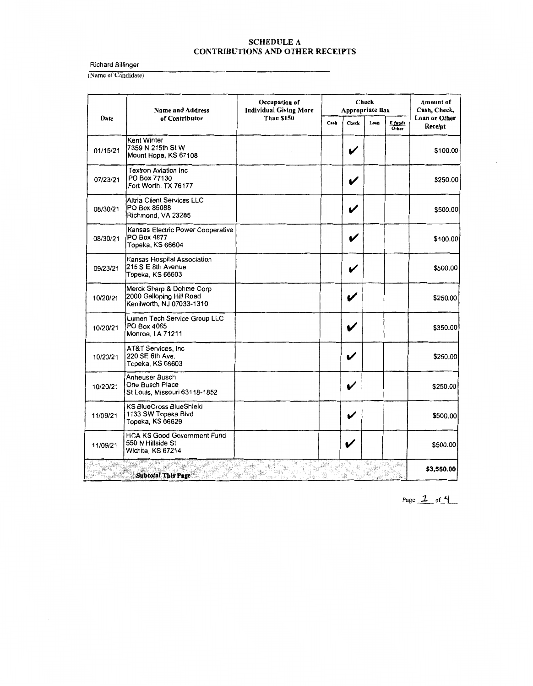Richard Billinger

(Name of Candidate)

|          | <b>Name and Address</b>                                                           | Occupation of<br><b>Individual Giving More</b><br><b>Than \$150</b><br>Cash | Check<br><b>Appropriate Box</b> |                    |                  |                                 | Amount of<br>Cash, Check, |
|----------|-----------------------------------------------------------------------------------|-----------------------------------------------------------------------------|---------------------------------|--------------------|------------------|---------------------------------|---------------------------|
| Date     | of Contributor                                                                    |                                                                             | Check                           | Loan               | E funds<br>Other | <b>Loan or Other</b><br>Receipt |                           |
| 01/15/21 | Kent Winter<br>7359 N 215th St W<br>Mount Hope, KS 67108                          |                                                                             |                                 | $\boldsymbol{\nu}$ |                  |                                 | \$100.00                  |
| 07/23/21 | <b>Textron Aviation Inc.</b><br>PO Box 77130<br>Fort Worth, TX 76177              |                                                                             |                                 |                    |                  |                                 | \$250.00                  |
| 08/30/21 | Altria Client Services LLC<br>PO Box 85088<br>Richmond, VA 23285                  |                                                                             |                                 | V                  |                  |                                 | \$500.00                  |
| 08/30/21 | Kansas Electric Power Cooperative<br>PO Box 4877<br>Topeka, KS 66604              |                                                                             |                                 | $\boldsymbol{\nu}$ |                  |                                 | \$100.00                  |
| 09/23/21 | Kansas Hospital Association<br>215 S E 8th Avenue<br>Topeka, KS 66603             |                                                                             |                                 | V                  |                  |                                 | \$500.00                  |
| 10/20/21 | Merck Sharp & Dohme Corp<br>2000 Galloping Hill Road<br>Kenilworth, NJ 07033-1310 |                                                                             |                                 |                    |                  |                                 | \$250.00                  |
| 10/20/21 | Lumen Tech Service Group LLC<br>PO Box 4065<br>Monroe, LA 71211                   |                                                                             |                                 |                    |                  |                                 | \$350.00                  |
| 10/20/21 | AT&T Services, Inc.<br>220 SE 6th Ave.<br>Topeka, KS 66603                        |                                                                             |                                 | V                  |                  |                                 | \$250.00                  |
| 10/20/21 | Anheuser Busch<br>One Busch Place<br>St Louis, Missouri 63118-1852                |                                                                             |                                 | V                  |                  |                                 | \$250.00                  |
| 11/09/21 | <b>KS BlueCross BlueShield</b><br>1133 SW Topeka Blvd<br>Topeka, KS 66629         |                                                                             |                                 | V                  |                  |                                 | \$500.00                  |
| 11/09/21 | <b>HCA KS Good Government Fund</b><br>550 N Hillside St<br>Wichita, KS 67214      |                                                                             |                                 |                    |                  |                                 | \$500.00                  |
|          | Subtotal This Page                                                                |                                                                             |                                 |                    |                  | ंबे                             | \$3,550.00                |

Page  $1$  of  $4$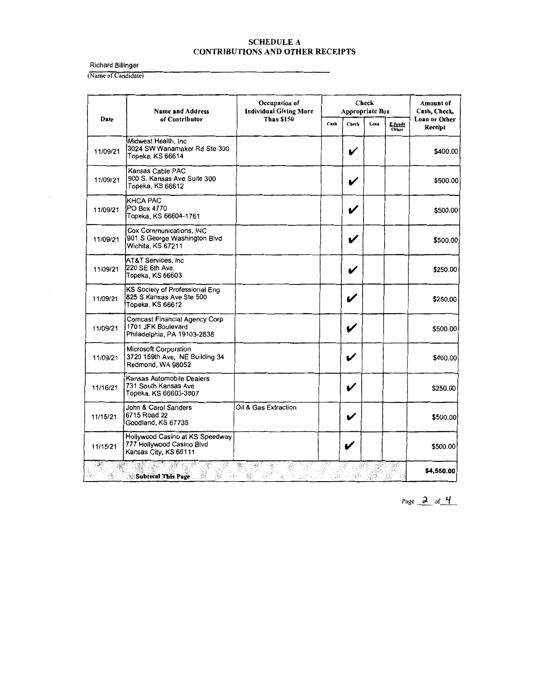Richard Billinger

 $\bar{\gamma}$ 

(Name of Candidate)

|          | <b>Name and Address</b><br>of Contributor                                                 | Occupation of<br><b>Individual Giving More</b><br><b>Than \$150</b> | <b>Check</b><br><b>Appropriate Box</b> |                    |      |                         | Amount of<br>Cash, Check, |
|----------|-------------------------------------------------------------------------------------------|---------------------------------------------------------------------|----------------------------------------|--------------------|------|-------------------------|---------------------------|
| Date     |                                                                                           |                                                                     | Cash                                   | <b>Check</b>       | Losn | E funds<br><b>Other</b> | Loan or Other<br>Receipt  |
| 11/09/21 | Midwest Health, Inc.<br>3024 SW Wanamaker Rd Ste 300<br>Topeka, KS 66614                  |                                                                     |                                        | V                  |      |                         | \$400.00                  |
| 11/09/21 | Kansas Cable PAC<br>900 S. Kansas Ave Suite 300<br>Topeka, KS 66612                       |                                                                     |                                        |                    |      |                         | \$500.00                  |
| 11/09/21 | <b>KHCA PAC</b><br>PO Box 4770<br>Topeka, KS 66604-1761                                   |                                                                     |                                        | V                  |      |                         | \$500.00                  |
| 11/09/21 | Cox Communications, INC<br>901 S George Washington Blvd<br>Wichita, KS 67211              |                                                                     |                                        |                    |      |                         | \$500.00                  |
| 11/09/21 | AT&T Services, Inc.<br>220 SE 6th Ave.<br>Topeka, KS 66603                                |                                                                     |                                        | V                  |      |                         | \$250.00                  |
| 11/09/21 | KS Society of Professional Eng<br>825 S Kansas Ave Ste 500<br>Topeka, KS 66612            |                                                                     |                                        | V                  |      |                         | \$250.00                  |
| 11/09/21 | <b>Comcast Financial Agency Corp</b><br>1701 JFK Boulevard<br>Philadelphia, PA 19103-2838 |                                                                     |                                        | V                  |      |                         | \$500.00                  |
| 11/09/21 | Microsoft Corporation<br>3720 159th Ave, NE Building 34<br>Redmond, WA 98052              |                                                                     |                                        | V                  |      |                         | \$400.00                  |
| 11/16/21 | Kansas Automobile Dealers<br>731 South Kansas Ave<br>Topeka, KS 66603-3807                |                                                                     |                                        | $\boldsymbol{\nu}$ |      |                         | \$250.00                  |
| 11/15/21 | John & Carol Sanders<br>6715 Road 22<br>Goodland, KS 67735                                | Oil & Gas Extraction                                                |                                        | V                  |      |                         | \$500.00                  |
| 11/15/21 | Hollywood Casino at KS Speedway<br>777 Hollywood Casino Blvd<br>Kansas City, KS 66111     |                                                                     |                                        | V                  |      |                         | \$500.00                  |
|          | <b>Subtotal This Page</b>                                                                 |                                                                     |                                        |                    |      |                         | \$4,550.00                |

Page  $2$  of  $4$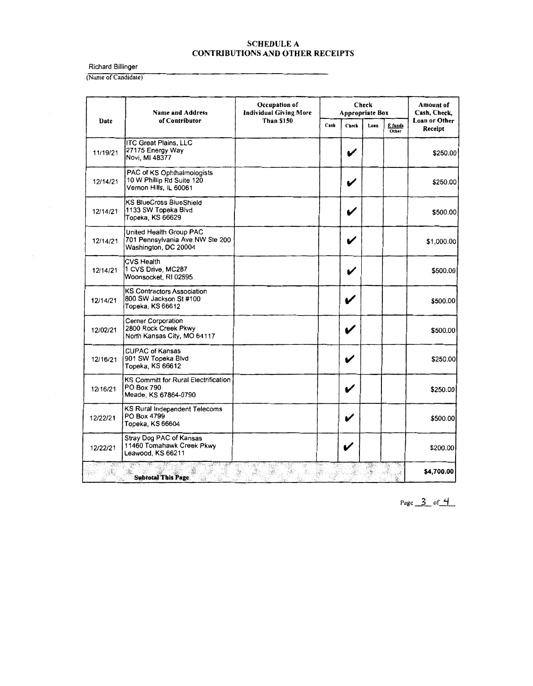Richard Billinger

 $\bar{z}$ 

(Name of Candidate)

|          | <b>Name and Address</b>                                                            | Occupation of<br><b>Individual Giving More</b><br><b>Than \$150</b> | Check<br><b>Appropriate Box</b> |              |      |                  | Amount of<br>Cash, Check, |
|----------|------------------------------------------------------------------------------------|---------------------------------------------------------------------|---------------------------------|--------------|------|------------------|---------------------------|
| Date     | of Contributor                                                                     |                                                                     | Cash                            | <b>Check</b> | Losn | E fands<br>Other | Loan or Other<br>Receipt  |
| 11/19/21 | <b>ITC Great Plains, LLC</b><br>27175 Energy Way<br>Novi, MI 48377                 |                                                                     |                                 | V            |      |                  | \$250.00                  |
| 12/14/21 | PAC of KS Ophthalmologists<br>10 W Phillip Rd Suite 120<br>Vernon Hills, IL 60061  |                                                                     |                                 |              |      |                  | \$250.00                  |
| 12/14/21 | <b>KS BlueCross BlueShield</b><br>1133 SW Topeka Blvd<br>Topeka, KS 66629          |                                                                     |                                 | V            |      |                  | \$500.00                  |
| 12/14/21 | United Health Group PAC<br>701 Pennsylvania Ave NW Ste 200<br>Washington, DC 20004 |                                                                     |                                 |              |      |                  | \$1,000.00                |
| 12/14/21 | <b>CVS Health</b><br>1 CVS Drive, MC287<br>Woonsocket, RI 02895                    |                                                                     |                                 | V            |      |                  | \$500.00                  |
| 12/14/21 | <b>KS Contractors Association</b><br>800 SW Jackson St #100<br>Topeka, KS 66612    |                                                                     |                                 | V            |      |                  | \$500.00                  |
| 12/02/21 | Cerner Corporation<br>2800 Rock Creek Pkwy<br>North Kansas City, MO 64117          |                                                                     |                                 |              |      |                  | \$500.00                  |
| 12/16/21 | <b>CUPAC of Kansas</b><br>901 SW Topeka Blvd<br>Topeka, KS 66612                   |                                                                     |                                 | V            |      |                  | \$250.00                  |
| 12/16/21 | KS Committ for Rural Electrification<br>PO Box 790<br>Meade, KS 67864-0790         |                                                                     |                                 | V            |      |                  | \$250.00                  |
| 12/22/21 | KS Rural Independent Telecoms<br>PO Box 4799<br>Topeka, KS 66604                   |                                                                     |                                 | V            |      |                  | \$500.00                  |
| 12/22/21 | Stray Dog PAC of Kansas<br>11460 Tomahawk Creek Pkwy<br>Leawood, KS 66211          |                                                                     |                                 |              |      |                  | \$200.00                  |
|          | gana.<br><b>Subtotal This Page</b>                                                 | ekter<br>Skog                                                       |                                 |              |      |                  | \$4,700.00                |

Page  $3$  of  $4$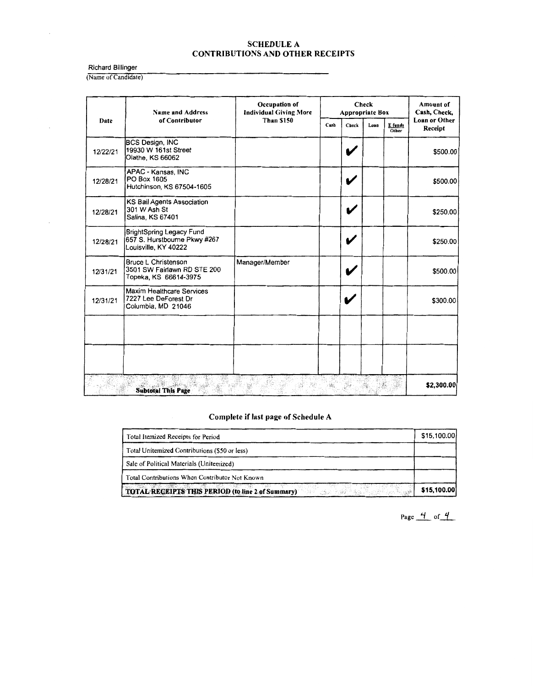Richard Billinger

 $\overline{\phantom{a}}$ 

 $\bar{z}$ 

(Name of Candidate)

|          | <b>Name and Address</b><br>of Contributor<br>Date                                       | Occupation of<br><b>Individual Giving More</b> | Check<br><b>Appropriate Box</b> |       |                             |                                 | <b>Amount of</b><br>Cash, Check, |
|----------|-----------------------------------------------------------------------------------------|------------------------------------------------|---------------------------------|-------|-----------------------------|---------------------------------|----------------------------------|
|          |                                                                                         | <b>Than \$150</b>                              | Cash                            | Check | Loan<br>E funds<br>Other    | <b>Loan or Other</b><br>Receipt |                                  |
| 12/22/21 | BCS Design, INC<br>19930 W 161st Street<br>Olathe, KS 66062                             |                                                |                                 |       |                             |                                 | \$500.00                         |
| 12/28/21 | APAC - Kansas, INC<br>PO Box 1605<br>Hutchinson, KS 67504-1605                          |                                                |                                 |       |                             |                                 | \$500.00                         |
| 12/28/21 | KS Bail Agents Association<br>301 W Ash St<br>Salina, KS 67401                          |                                                |                                 |       |                             |                                 | \$250.00                         |
| 12/28/21 | <b>BrightSpring Legacy Fund</b><br>657 S. Hurstbourne Pkwy #267<br>Louisville, KY 40222 |                                                |                                 | v     |                             |                                 | \$250.00                         |
| 12/31/21 | <b>Bruce L Christenson</b><br>3501 SW Fairlawn RD STE 200<br>Topeka, KS 66614-3975      | Manager/Member                                 |                                 |       |                             |                                 | \$500.00                         |
| 12/31/21 | Maxim Healthcare Services<br>7227 Lee DeForest Dr<br>Columbia, MD 21046                 |                                                |                                 | V     |                             |                                 | \$300.00                         |
|          |                                                                                         |                                                |                                 |       |                             |                                 |                                  |
|          |                                                                                         |                                                |                                 |       | $\mathcal{L}_{\mathcal{D}}$ |                                 | \$2,300.00                       |
|          | <b>Subtotal This Page</b>                                                               |                                                |                                 |       |                             |                                 |                                  |

# **Complete if last page of Schedule A**

| Total Itemized Receipts for Period                | \$15,100.00 |
|---------------------------------------------------|-------------|
| Total Unitemized Contributions (\$50 or less)     |             |
| Sale of Political Materials (Unitemized)          |             |
| Total Contributions When Contributor Not Known    |             |
| TOTAL REGEIPTS THIS PERIOD (to line 2 of Summary) | \$15,100.00 |

Page  $\frac{4}{5}$  of  $\frac{4}{5}$